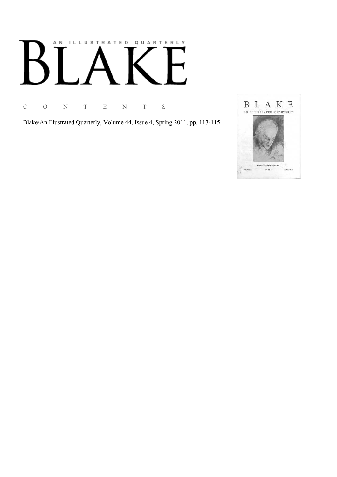# AN ILLUSTRATED QUARTERLY

C O N T E N T S

Blake/An Illustrated Quarterly, Volume 44, Issue 4, Spring 2011, pp. 113-115

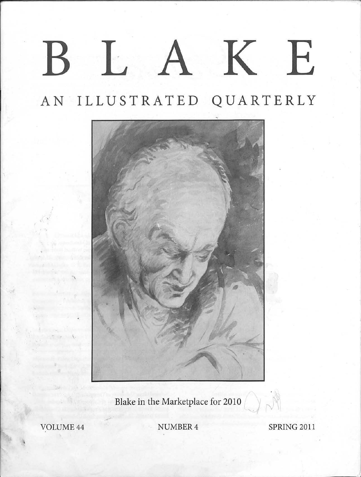## BLAKE

## AN . ILLUSTRATED QUARTERLY



Blake in the Marketplace for 2010

VOLUME 44 SPRING 2011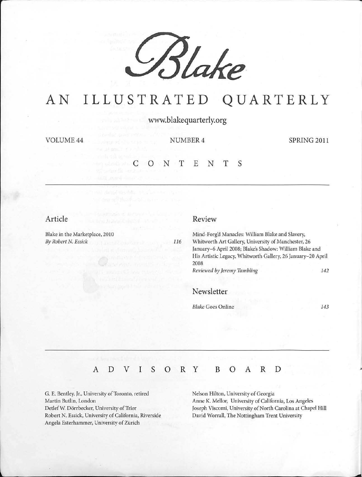

### AN ILLUSTRATED QUARTERLY

www.blakequarterly.org

VOLUME44 NUMBER4 SPRING 2011

## CONTENTS

#### Article

Blake in the Marketplace, 2010 *By Robert* N. *Essick* 

116

Mind-Forg'd Manacles: William Blake and Slavery, Whitworth Art Gallery, University of Manchester, 26

January-6 April 2008; Blake's Shadow: William Blake and His Artistic Legacy, Whitworth Gallery, 26 January-20 April 2008 *Reviewed by Jeremy Tambling* 142

#### Newsletter

Review

*Blake* Goes Online 143

#### A D V I s 0 R y B 0 A R D

G. E. Bentley, Jr., University of Toronto, retired Martin Butlin, London Detlef W. Dörrbecker, University of Trier Robert N. Essick, University of California, Riverside Angela Esterhammer, University of Zürich

Nelson Hilton, University of Georgia Anne K. Mellor, University of California, Los Angeles Joseph Viscomi, University of North Carolina at Chapel Hill David Worrall, The Nottingham Trent University